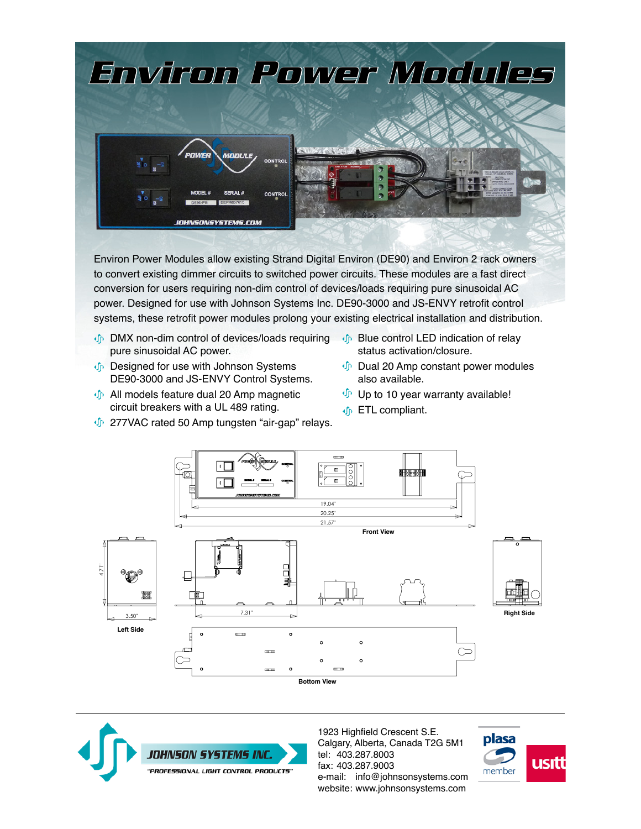

Environ Power Modules allow existing Strand Digital Environ (DE90) and Environ 2 rack owners to convert existing dimmer circuits to switched power circuits. These modules are a fast direct conversion for users requiring non-dim control of devices/loads requiring pure sinusoidal AC power. Designed for use with Johnson Systems Inc. DE90-3000 and JS-ENVY retrofit control systems, these retrofit power modules prolong your existing electrical installation and distribution.

- **DMX** non-dim control of devices/loads requiring pure sinusoidal AC power.
- **Designed for use with Johnson Systems** DE90-3000 and JS-ENVY Control Systems.
- $\oint$  All models feature dual 20 Amp magnetic circuit breakers with a UL 489 rating.
- $\psi$  277VAC rated 50 Amp tungsten "air-gap" relays.
- **D** Blue control LED indication of relay status activation/closure.
- **Dual 20 Amp constant power modules** also available.
- $\mathbf{\Phi}$  Up to 10 year warranty available!
- $\Phi$  ETL compliant.





1923 Highfield Crescent S.E. Calgary, Alberta, Canada T2G 5M1 tel: 403.287.8003 fax: 403.287.9003 e-mail: [info@johnsonsystems.com](mailto:info@johnsonsystems.com) website: [www.johnsonsystems.com](http://www.johnsonsystems.com)